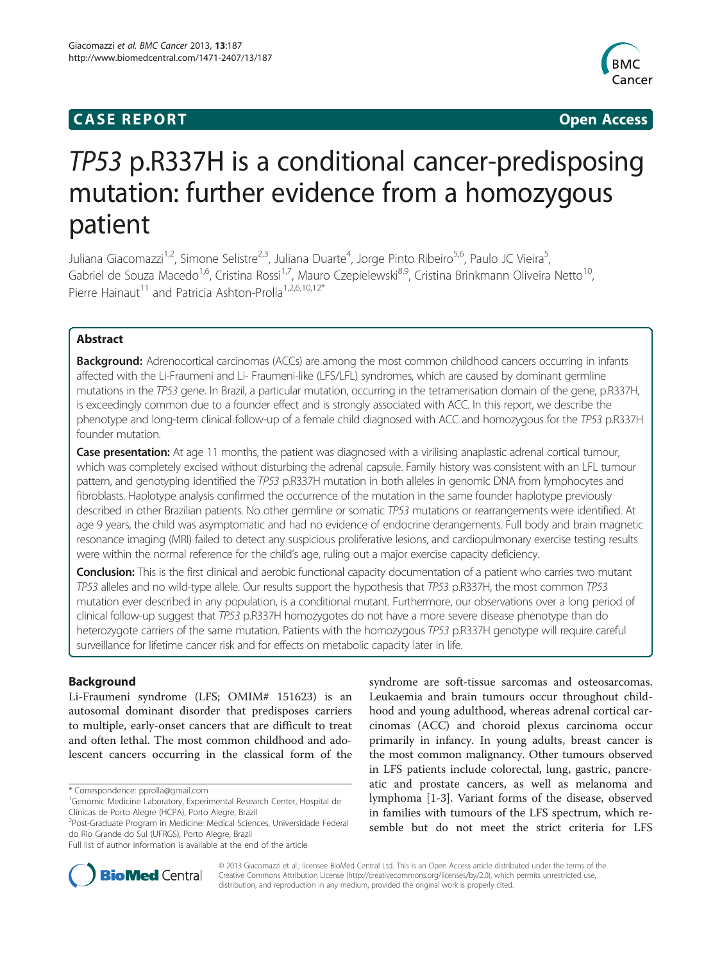# **CASE REPORT CASE REPORT**



# TP53 p.R337H is a conditional cancer-predisposing mutation: further evidence from a homozygous patient

Juliana Giacomazzi<sup>1,2</sup>, Simone Selistre<sup>2,3</sup>, Juliana Duarte<sup>4</sup>, Jorge Pinto Ribeiro<sup>5,6</sup>, Paulo JC Vieira<sup>5</sup> , Gabriel de Souza Macedo<sup>1,6</sup>, Cristina Rossi<sup>1,7</sup>, Mauro Czepielewski<sup>8,9</sup>, Cristina Brinkmann Oliveira Netto<sup>10</sup>, Pierre Hainaut<sup>11</sup> and Patricia Ashton-Prolla<sup>1,2,6,10,12\*</sup>

# Abstract

**Background:** Adrenocortical carcinomas (ACCs) are among the most common childhood cancers occurring in infants affected with the Li-Fraumeni and Li- Fraumeni-like (LFS/LFL) syndromes, which are caused by dominant germline mutations in the TP53 gene. In Brazil, a particular mutation, occurring in the tetramerisation domain of the gene, p.R337H, is exceedingly common due to a founder effect and is strongly associated with ACC. In this report, we describe the phenotype and long-term clinical follow-up of a female child diagnosed with ACC and homozygous for the TP53 p.R337H founder mutation.

Case presentation: At age 11 months, the patient was diagnosed with a virilising anaplastic adrenal cortical tumour, which was completely excised without disturbing the adrenal capsule. Family history was consistent with an LFL tumour pattern, and genotyping identified the TP53 p.R337H mutation in both alleles in genomic DNA from lymphocytes and fibroblasts. Haplotype analysis confirmed the occurrence of the mutation in the same founder haplotype previously described in other Brazilian patients. No other germline or somatic TP53 mutations or rearrangements were identified. At age 9 years, the child was asymptomatic and had no evidence of endocrine derangements. Full body and brain magnetic resonance imaging (MRI) failed to detect any suspicious proliferative lesions, and cardiopulmonary exercise testing results were within the normal reference for the child's age, ruling out a major exercise capacity deficiency.

Conclusion: This is the first clinical and aerobic functional capacity documentation of a patient who carries two mutant TP53 alleles and no wild-type allele. Our results support the hypothesis that TP53 p.R337H, the most common TP53 mutation ever described in any population, is a conditional mutant. Furthermore, our observations over a long period of clinical follow-up suggest that TP53 p.R337H homozygotes do not have a more severe disease phenotype than do heterozygote carriers of the same mutation. Patients with the homozygous TP53 p.R337H genotype will require careful surveillance for lifetime cancer risk and for effects on metabolic capacity later in life.

# Background

Li-Fraumeni syndrome (LFS; OMIM# 151623) is an autosomal dominant disorder that predisposes carriers to multiple, early-onset cancers that are difficult to treat and often lethal. The most common childhood and adolescent cancers occurring in the classical form of the

\* Correspondence: [pprolla@gmail.com](mailto:pprolla@gmail.com) <sup>1</sup>

syndrome are soft-tissue sarcomas and osteosarcomas. Leukaemia and brain tumours occur throughout childhood and young adulthood, whereas adrenal cortical carcinomas (ACC) and choroid plexus carcinoma occur primarily in infancy. In young adults, breast cancer is the most common malignancy. Other tumours observed in LFS patients include colorectal, lung, gastric, pancreatic and prostate cancers, as well as melanoma and lymphoma [\[1](#page-6-0)-[3\]](#page-6-0). Variant forms of the disease, observed in families with tumours of the LFS spectrum, which resemble but do not meet the strict criteria for LFS



© 2013 Giacomazzi et al.; licensee BioMed Central Ltd. This is an Open Access article distributed under the terms of the Creative Commons Attribution License (<http://creativecommons.org/licenses/by/2.0>), which permits unrestricted use, distribution, and reproduction in any medium, provided the original work is properly cited.

<sup>&</sup>lt;sup>1</sup>Genomic Medicine Laboratory, Experimental Research Center, Hospital de Clínicas de Porto Alegre (HCPA), Porto Alegre, Brazil

<sup>2</sup> Post-Graduate Program in Medicine: Medical Sciences, Universidade Federal do Rio Grande do Sul (UFRGS), Porto Alegre, Brazil

Full list of author information is available at the end of the article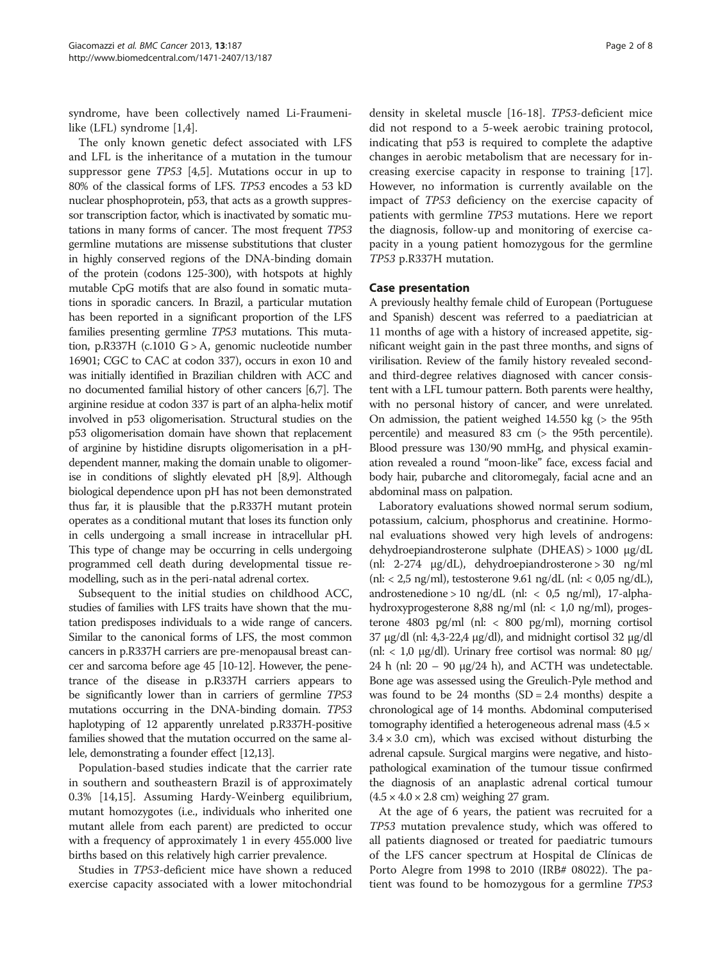syndrome, have been collectively named Li-Fraumenilike (LFL) syndrome [[1,4\]](#page-6-0).

The only known genetic defect associated with LFS and LFL is the inheritance of a mutation in the tumour suppressor gene TP53 [[4,5\]](#page-6-0). Mutations occur in up to 80% of the classical forms of LFS. TP53 encodes a 53 kD nuclear phosphoprotein, p53, that acts as a growth suppressor transcription factor, which is inactivated by somatic mutations in many forms of cancer. The most frequent TP53 germline mutations are missense substitutions that cluster in highly conserved regions of the DNA-binding domain of the protein (codons 125-300), with hotspots at highly mutable CpG motifs that are also found in somatic mutations in sporadic cancers. In Brazil, a particular mutation has been reported in a significant proportion of the LFS families presenting germline TP53 mutations. This mutation, p.R337H (c.1010 G > A, genomic nucleotide number 16901; CGC to CAC at codon 337), occurs in exon 10 and was initially identified in Brazilian children with ACC and no documented familial history of other cancers [\[6,7](#page-6-0)]. The arginine residue at codon 337 is part of an alpha-helix motif involved in p53 oligomerisation. Structural studies on the p53 oligomerisation domain have shown that replacement of arginine by histidine disrupts oligomerisation in a pHdependent manner, making the domain unable to oligomerise in conditions of slightly elevated pH [\[8,9\]](#page-6-0). Although biological dependence upon pH has not been demonstrated thus far, it is plausible that the p.R337H mutant protein operates as a conditional mutant that loses its function only in cells undergoing a small increase in intracellular pH. This type of change may be occurring in cells undergoing programmed cell death during developmental tissue remodelling, such as in the peri-natal adrenal cortex.

Subsequent to the initial studies on childhood ACC, studies of families with LFS traits have shown that the mutation predisposes individuals to a wide range of cancers. Similar to the canonical forms of LFS, the most common cancers in p.R337H carriers are pre-menopausal breast cancer and sarcoma before age 45 [\[10-12\]](#page-6-0). However, the penetrance of the disease in p.R337H carriers appears to be significantly lower than in carriers of germline TP53 mutations occurring in the DNA-binding domain. TP53 haplotyping of 12 apparently unrelated p.R337H-positive families showed that the mutation occurred on the same allele, demonstrating a founder effect [[12,13](#page-6-0)].

Population-based studies indicate that the carrier rate in southern and southeastern Brazil is of approximately 0.3% [\[14,15\]](#page-6-0). Assuming Hardy-Weinberg equilibrium, mutant homozygotes (i.e., individuals who inherited one mutant allele from each parent) are predicted to occur with a frequency of approximately 1 in every 455.000 live births based on this relatively high carrier prevalence.

Studies in TP53-deficient mice have shown a reduced exercise capacity associated with a lower mitochondrial

density in skeletal muscle [\[16](#page-6-0)-[18\]](#page-6-0). TP53-deficient mice did not respond to a 5-week aerobic training protocol, indicating that p53 is required to complete the adaptive changes in aerobic metabolism that are necessary for increasing exercise capacity in response to training [\[17](#page-6-0)]. However, no information is currently available on the impact of TP53 deficiency on the exercise capacity of patients with germline TP53 mutations. Here we report the diagnosis, follow-up and monitoring of exercise capacity in a young patient homozygous for the germline TP53 p.R337H mutation.

# Case presentation

A previously healthy female child of European (Portuguese and Spanish) descent was referred to a paediatrician at 11 months of age with a history of increased appetite, significant weight gain in the past three months, and signs of virilisation. Review of the family history revealed secondand third-degree relatives diagnosed with cancer consistent with a LFL tumour pattern. Both parents were healthy, with no personal history of cancer, and were unrelated. On admission, the patient weighed 14.550 kg (> the 95th percentile) and measured 83 cm (> the 95th percentile). Blood pressure was 130/90 mmHg, and physical examination revealed a round "moon-like" face, excess facial and body hair, pubarche and clitoromegaly, facial acne and an abdominal mass on palpation.

Laboratory evaluations showed normal serum sodium, potassium, calcium, phosphorus and creatinine. Hormonal evaluations showed very high levels of androgens: dehydroepiandrosterone sulphate (DHEAS) > 1000 μg/dL (nl: 2-274 μg/dL), dehydroepiandrosterone > 30 ng/ml (nl:  $<$  2,5 ng/ml), testosterone 9.61 ng/dL (nl:  $<$  0,05 ng/dL), androstenedione > 10 ng/dL (nl: <  $0.5$  ng/ml), 17-alphahydroxyprogesterone 8,88 ng/ml (nl:  $< 1.0$  ng/ml), progesterone 4803 pg/ml (nl: < 800 pg/ml), morning cortisol 37 μg/dl (nl: 4,3-22,4 μg/dl), and midnight cortisol 32 μg/dl (nl: < 1,0 μg/dl). Urinary free cortisol was normal: 80 μg/ 24 h (nl:  $20 - 90$  μg/24 h), and ACTH was undetectable. Bone age was assessed using the Greulich-Pyle method and was found to be 24 months  $(SD = 2.4$  months) despite a chronological age of 14 months. Abdominal computerised tomography identified a heterogeneous adrenal mass (4.5 ×  $3.4 \times 3.0$  cm), which was excised without disturbing the adrenal capsule. Surgical margins were negative, and histopathological examination of the tumour tissue confirmed the diagnosis of an anaplastic adrenal cortical tumour  $(4.5 \times 4.0 \times 2.8$  cm) weighing 27 gram.

At the age of 6 years, the patient was recruited for a TP53 mutation prevalence study, which was offered to all patients diagnosed or treated for paediatric tumours of the LFS cancer spectrum at Hospital de Clínicas de Porto Alegre from 1998 to 2010 (IRB# 08022). The patient was found to be homozygous for a germline TP53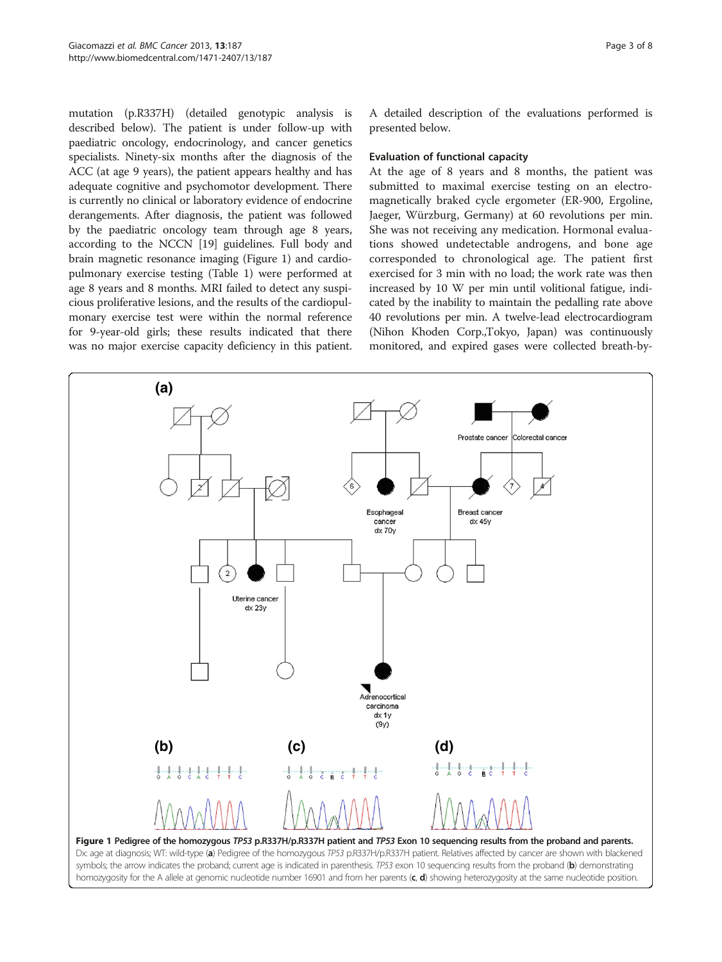mutation (p.R337H) (detailed genotypic analysis is described below). The patient is under follow-up with paediatric oncology, endocrinology, and cancer genetics specialists. Ninety-six months after the diagnosis of the ACC (at age 9 years), the patient appears healthy and has adequate cognitive and psychomotor development. There is currently no clinical or laboratory evidence of endocrine derangements. After diagnosis, the patient was followed by the paediatric oncology team through age 8 years, according to the NCCN [[19\]](#page-6-0) guidelines. Full body and brain magnetic resonance imaging (Figure 1) and cardiopulmonary exercise testing (Table [1\)](#page-3-0) were performed at age 8 years and 8 months. MRI failed to detect any suspicious proliferative lesions, and the results of the cardiopulmonary exercise test were within the normal reference for 9-year-old girls; these results indicated that there was no major exercise capacity deficiency in this patient. A detailed description of the evaluations performed is presented below.

### Evaluation of functional capacity

At the age of 8 years and 8 months, the patient was submitted to maximal exercise testing on an electromagnetically braked cycle ergometer (ER-900, Ergoline, Jaeger, Würzburg, Germany) at 60 revolutions per min. She was not receiving any medication. Hormonal evaluations showed undetectable androgens, and bone age corresponded to chronological age. The patient first exercised for 3 min with no load; the work rate was then increased by 10 W per min until volitional fatigue, indicated by the inability to maintain the pedalling rate above 40 revolutions per min. A twelve-lead electrocardiogram (Nihon Khoden Corp.,Tokyo, Japan) was continuously monitored, and expired gases were collected breath-by-



symbols; the arrow indicates the proband; current age is indicated in parenthesis. TP53 exon 10 sequencing results from the proband (b) demonstrating homozygosity for the A allele at genomic nucleotide number 16901 and from her parents  $(c, d)$  showing heterozygosity at the same nucleotide position.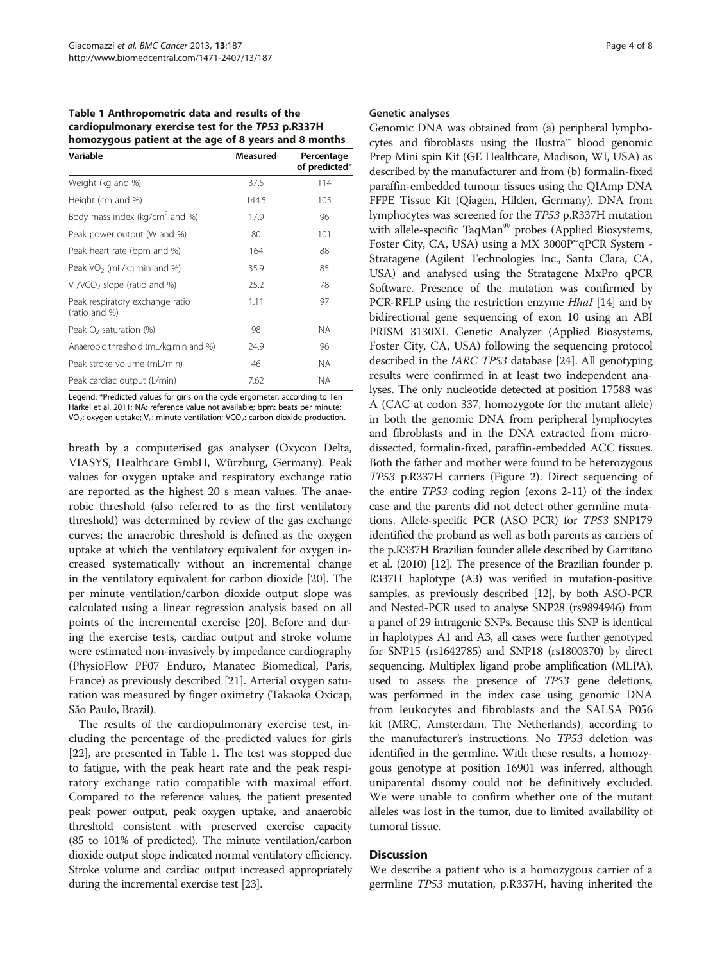<span id="page-3-0"></span>Table 1 Anthropometric data and results of the cardiopulmonary exercise test for the TP53 p.R337H homozygous patient at the age of 8 years and 8 months

| Variable                                         | Measured | Percentage<br>of predicted* |
|--------------------------------------------------|----------|-----------------------------|
| Weight (kg and %)                                | 37.5     | 114                         |
| Height (cm and %)                                | 144.5    | 105                         |
| Body mass index (kg/cm <sup>2</sup> and %)       | 17.9     | 96                          |
| Peak power output (W and %)                      | 80       | 101                         |
| Peak heart rate (bpm and %)                      | 164      | 88                          |
| Peak VO <sub>2</sub> (mL/kg.min and %)           | 35.9     | 85                          |
| $V_F/VCO_2$ slope (ratio and %)                  | 25.2     | 78                          |
| Peak respiratory exchange ratio<br>(ratio and %) | 1.11     | 97                          |
| Peak $O2$ saturation (%)                         | 98       | <b>NA</b>                   |
| Anaerobic threshold (mL/kg.min and %)            | 24.9     | 96                          |
| Peak stroke volume (mL/min)                      | 46       | <b>NA</b>                   |
| Peak cardiac output (L/min)                      | 7.62     | <b>NA</b>                   |

Legend: \*Predicted values for girls on the cycle ergometer, according to Ten Harkel et al. 2011; NA: reference value not available; bpm: beats per minute; VO<sub>2</sub>: oxygen uptake; V<sub>E</sub>: minute ventilation; VCO<sub>2</sub>: carbon dioxide production.

breath by a computerised gas analyser (Oxycon Delta, VIASYS, Healthcare GmbH, Würzburg, Germany). Peak values for oxygen uptake and respiratory exchange ratio are reported as the highest 20 s mean values. The anaerobic threshold (also referred to as the first ventilatory threshold) was determined by review of the gas exchange curves; the anaerobic threshold is defined as the oxygen uptake at which the ventilatory equivalent for oxygen increased systematically without an incremental change in the ventilatory equivalent for carbon dioxide [\[20\]](#page-6-0). The per minute ventilation/carbon dioxide output slope was calculated using a linear regression analysis based on all points of the incremental exercise [\[20](#page-6-0)]. Before and during the exercise tests, cardiac output and stroke volume were estimated non-invasively by impedance cardiography (PhysioFlow PF07 Enduro, Manatec Biomedical, Paris, France) as previously described [\[21\]](#page-6-0). Arterial oxygen saturation was measured by finger oximetry (Takaoka Oxicap, São Paulo, Brazil).

The results of the cardiopulmonary exercise test, including the percentage of the predicted values for girls [[22\]](#page-6-0), are presented in Table 1. The test was stopped due to fatigue, with the peak heart rate and the peak respiratory exchange ratio compatible with maximal effort. Compared to the reference values, the patient presented peak power output, peak oxygen uptake, and anaerobic threshold consistent with preserved exercise capacity (85 to 101% of predicted). The minute ventilation/carbon dioxide output slope indicated normal ventilatory efficiency. Stroke volume and cardiac output increased appropriately during the incremental exercise test [\[23\]](#page-6-0).

## Genetic analyses

Genomic DNA was obtained from (a) peripheral lymphocytes and fibroblasts using the Ilustra™ blood genomic Prep Mini spin Kit (GE Healthcare, Madison, WI, USA) as described by the manufacturer and from (b) formalin-fixed paraffin-embedded tumour tissues using the QIAmp DNA FFPE Tissue Kit (Qiagen, Hilden, Germany). DNA from lymphocytes was screened for the TP53 p.R337H mutation with allele-specific TaqMan<sup>®</sup> probes (Applied Biosystems, Foster City, CA, USA) using a MX 3000P™qPCR System - Stratagene (Agilent Technologies Inc., Santa Clara, CA, USA) and analysed using the Stratagene MxPro qPCR Software. Presence of the mutation was confirmed by PCR-RFLP using the restriction enzyme *HhaI* [\[14\]](#page-6-0) and by bidirectional gene sequencing of exon 10 using an ABI PRISM 3130XL Genetic Analyzer (Applied Biosystems, Foster City, CA, USA) following the sequencing protocol described in the IARC TP53 database [[24](#page-6-0)]. All genotyping results were confirmed in at least two independent analyses. The only nucleotide detected at position 17588 was A (CAC at codon 337, homozygote for the mutant allele) in both the genomic DNA from peripheral lymphocytes and fibroblasts and in the DNA extracted from microdissected, formalin-fixed, paraffin-embedded ACC tissues. Both the father and mother were found to be heterozygous TP53 p.R337H carriers (Figure [2](#page-4-0)). Direct sequencing of the entire TP53 coding region (exons 2-11) of the index case and the parents did not detect other germline mutations. Allele-specific PCR (ASO PCR) for TP53 SNP179 identified the proband as well as both parents as carriers of the p.R337H Brazilian founder allele described by Garritano et al. (2010) [[12](#page-6-0)]. The presence of the Brazilian founder p. R337H haplotype (A3) was verified in mutation-positive samples, as previously described [\[12\]](#page-6-0), by both ASO-PCR and Nested-PCR used to analyse SNP28 (rs9894946) from a panel of 29 intragenic SNPs. Because this SNP is identical in haplotypes A1 and A3, all cases were further genotyped for SNP15 (rs1642785) and SNP18 (rs1800370) by direct sequencing. Multiplex ligand probe amplification (MLPA), used to assess the presence of TP53 gene deletions, was performed in the index case using genomic DNA from leukocytes and fibroblasts and the SALSA P056 kit (MRC, Amsterdam, The Netherlands), according to the manufacturer's instructions. No TP53 deletion was identified in the germline. With these results, a homozygous genotype at position 16901 was inferred, although uniparental disomy could not be definitively excluded. We were unable to confirm whether one of the mutant alleles was lost in the tumor, due to limited availability of tumoral tissue.

# Discussion

We describe a patient who is a homozygous carrier of a germline TP53 mutation, p.R337H, having inherited the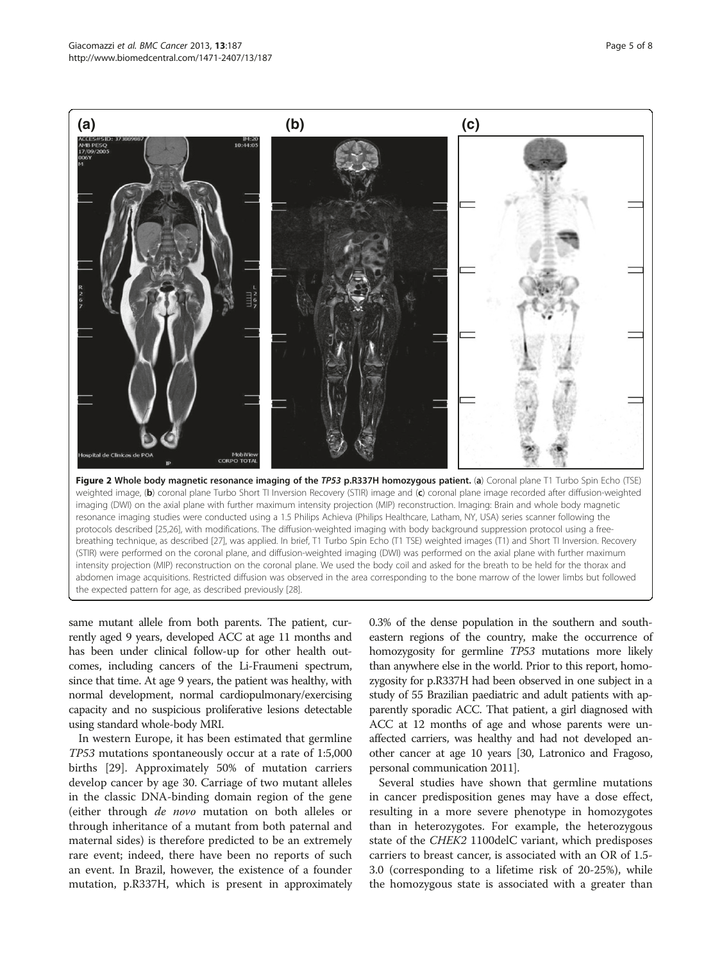<span id="page-4-0"></span>

(STIR) were performed on the coronal plane, and diffusion-weighted imaging (DWI) was performed on the axial plane with further maximum intensity projection (MIP) reconstruction on the coronal plane. We used the body coil and asked for the breath to be held for the thorax and abdomen image acquisitions. Restricted diffusion was observed in the area corresponding to the bone marrow of the lower limbs but followed the expected pattern for age, as described previously [\[28\]](#page-6-0).

same mutant allele from both parents. The patient, currently aged 9 years, developed ACC at age 11 months and has been under clinical follow-up for other health outcomes, including cancers of the Li-Fraumeni spectrum, since that time. At age 9 years, the patient was healthy, with normal development, normal cardiopulmonary/exercising capacity and no suspicious proliferative lesions detectable using standard whole-body MRI.

In western Europe, it has been estimated that germline TP53 mutations spontaneously occur at a rate of 1:5,000 births [[29\]](#page-6-0). Approximately 50% of mutation carriers develop cancer by age 30. Carriage of two mutant alleles in the classic DNA-binding domain region of the gene (either through de novo mutation on both alleles or through inheritance of a mutant from both paternal and maternal sides) is therefore predicted to be an extremely rare event; indeed, there have been no reports of such an event. In Brazil, however, the existence of a founder mutation, p.R337H, which is present in approximately 0.3% of the dense population in the southern and southeastern regions of the country, make the occurrence of homozygosity for germline TP53 mutations more likely than anywhere else in the world. Prior to this report, homozygosity for p.R337H had been observed in one subject in a study of 55 Brazilian paediatric and adult patients with apparently sporadic ACC. That patient, a girl diagnosed with ACC at 12 months of age and whose parents were unaffected carriers, was healthy and had not developed another cancer at age 10 years [\[30,](#page-6-0) Latronico and Fragoso, personal communication 2011].

Several studies have shown that germline mutations in cancer predisposition genes may have a dose effect, resulting in a more severe phenotype in homozygotes than in heterozygotes. For example, the heterozygous state of the CHEK2 1100delC variant, which predisposes carriers to breast cancer, is associated with an OR of 1.5- 3.0 (corresponding to a lifetime risk of 20-25%), while the homozygous state is associated with a greater than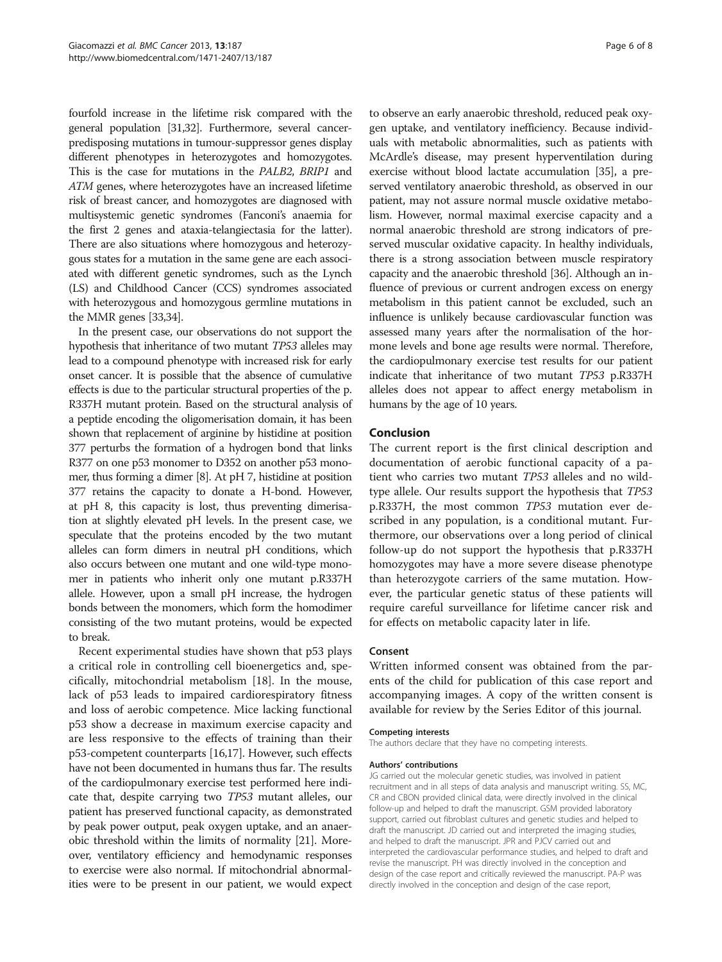fourfold increase in the lifetime risk compared with the general population [\[31,32\]](#page-7-0). Furthermore, several cancerpredisposing mutations in tumour-suppressor genes display different phenotypes in heterozygotes and homozygotes. This is the case for mutations in the PALB2, BRIP1 and ATM genes, where heterozygotes have an increased lifetime risk of breast cancer, and homozygotes are diagnosed with multisystemic genetic syndromes (Fanconi's anaemia for the first 2 genes and ataxia-telangiectasia for the latter). There are also situations where homozygous and heterozygous states for a mutation in the same gene are each associated with different genetic syndromes, such as the Lynch (LS) and Childhood Cancer (CCS) syndromes associated with heterozygous and homozygous germline mutations in the MMR genes [\[33,34](#page-7-0)].

In the present case, our observations do not support the hypothesis that inheritance of two mutant TP53 alleles may lead to a compound phenotype with increased risk for early onset cancer. It is possible that the absence of cumulative effects is due to the particular structural properties of the p. R337H mutant protein. Based on the structural analysis of a peptide encoding the oligomerisation domain, it has been shown that replacement of arginine by histidine at position 377 perturbs the formation of a hydrogen bond that links R377 on one p53 monomer to D352 on another p53 monomer, thus forming a dimer [[8](#page-6-0)]. At pH 7, histidine at position 377 retains the capacity to donate a H-bond. However, at pH 8, this capacity is lost, thus preventing dimerisation at slightly elevated pH levels. In the present case, we speculate that the proteins encoded by the two mutant alleles can form dimers in neutral pH conditions, which also occurs between one mutant and one wild-type monomer in patients who inherit only one mutant p.R337H allele. However, upon a small pH increase, the hydrogen bonds between the monomers, which form the homodimer consisting of the two mutant proteins, would be expected to break.

Recent experimental studies have shown that p53 plays a critical role in controlling cell bioenergetics and, specifically, mitochondrial metabolism [\[18](#page-6-0)]. In the mouse, lack of p53 leads to impaired cardiorespiratory fitness and loss of aerobic competence. Mice lacking functional p53 show a decrease in maximum exercise capacity and are less responsive to the effects of training than their p53-competent counterparts [[16,17](#page-6-0)]. However, such effects have not been documented in humans thus far. The results of the cardiopulmonary exercise test performed here indicate that, despite carrying two TP53 mutant alleles, our patient has preserved functional capacity, as demonstrated by peak power output, peak oxygen uptake, and an anaerobic threshold within the limits of normality [[21](#page-6-0)]. Moreover, ventilatory efficiency and hemodynamic responses to exercise were also normal. If mitochondrial abnormalities were to be present in our patient, we would expect

to observe an early anaerobic threshold, reduced peak oxygen uptake, and ventilatory inefficiency. Because individuals with metabolic abnormalities, such as patients with McArdle's disease, may present hyperventilation during exercise without blood lactate accumulation [\[35\]](#page-7-0), a preserved ventilatory anaerobic threshold, as observed in our patient, may not assure normal muscle oxidative metabolism. However, normal maximal exercise capacity and a normal anaerobic threshold are strong indicators of preserved muscular oxidative capacity. In healthy individuals, there is a strong association between muscle respiratory capacity and the anaerobic threshold [\[36\]](#page-7-0). Although an influence of previous or current androgen excess on energy metabolism in this patient cannot be excluded, such an influence is unlikely because cardiovascular function was assessed many years after the normalisation of the hormone levels and bone age results were normal. Therefore, the cardiopulmonary exercise test results for our patient indicate that inheritance of two mutant TP53 p.R337H alleles does not appear to affect energy metabolism in humans by the age of 10 years.

# Conclusion

The current report is the first clinical description and documentation of aerobic functional capacity of a patient who carries two mutant TP53 alleles and no wildtype allele. Our results support the hypothesis that TP53 p.R337H, the most common TP53 mutation ever described in any population, is a conditional mutant. Furthermore, our observations over a long period of clinical follow-up do not support the hypothesis that p.R337H homozygotes may have a more severe disease phenotype than heterozygote carriers of the same mutation. However, the particular genetic status of these patients will require careful surveillance for lifetime cancer risk and for effects on metabolic capacity later in life.

## Consent

Written informed consent was obtained from the parents of the child for publication of this case report and accompanying images. A copy of the written consent is available for review by the Series Editor of this journal.

#### Competing interests

The authors declare that they have no competing interests.

#### Authors' contributions

JG carried out the molecular genetic studies, was involved in patient recruitment and in all steps of data analysis and manuscript writing. SS, MC, CR and CBON provided clinical data, were directly involved in the clinical follow-up and helped to draft the manuscript. GSM provided laboratory support, carried out fibroblast cultures and genetic studies and helped to draft the manuscript. JD carried out and interpreted the imaging studies, and helped to draft the manuscript. JPR and PJCV carried out and interpreted the cardiovascular performance studies, and helped to draft and revise the manuscript. PH was directly involved in the conception and design of the case report and critically reviewed the manuscript. PA-P was directly involved in the conception and design of the case report,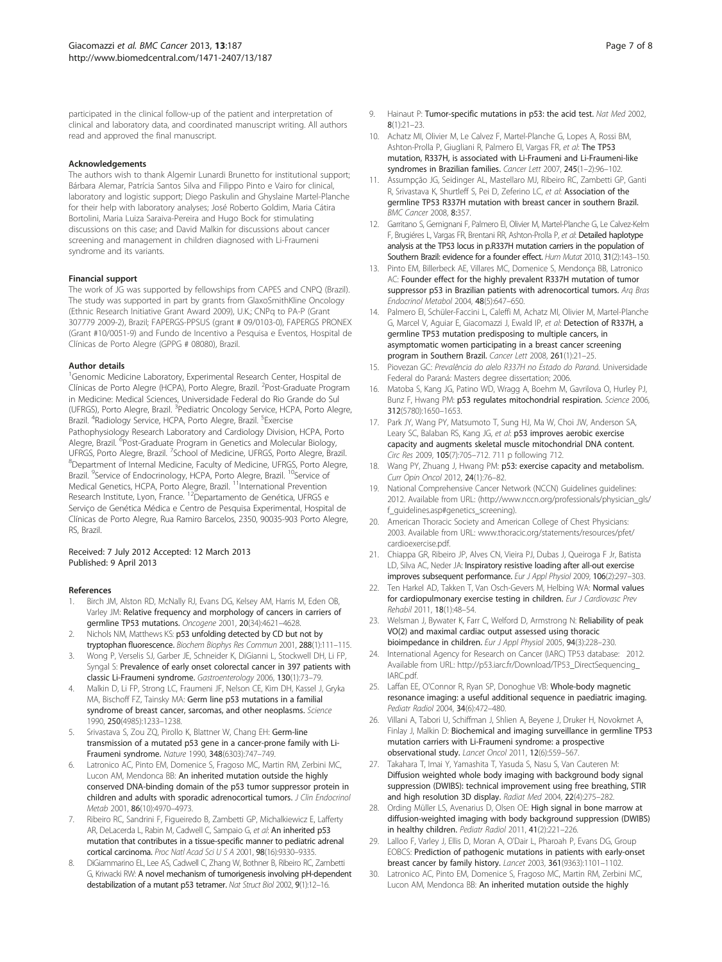<span id="page-6-0"></span>participated in the clinical follow-up of the patient and interpretation of clinical and laboratory data, and coordinated manuscript writing. All authors read and approved the final manuscript.

#### Acknowledgements

The authors wish to thank Algemir Lunardi Brunetto for institutional support; Bárbara Alemar, Patrícia Santos Silva and Filippo Pinto e Vairo for clinical, laboratory and logistic support; Diego Paskulin and Ghyslaine Martel-Planche for their help with laboratory analyses; José Roberto Goldim, Maria Cátira Bortolini, Maria Luiza Saraiva-Pereira and Hugo Bock for stimulating discussions on this case; and David Malkin for discussions about cancer screening and management in children diagnosed with Li-Fraumeni syndrome and its variants.

#### Financial support

The work of JG was supported by fellowships from CAPES and CNPQ (Brazil). The study was supported in part by grants from GlaxoSmithKline Oncology (Ethnic Research Initiative Grant Award 2009), U.K.; CNPq to PA-P (Grant 307779 2009-2), Brazil; FAPERGS-PPSUS (grant # 09/0103-0), FAPERGS PRONEX (Grant #10/0051-9) and Fundo de Incentivo a Pesquisa e Eventos, Hospital de Clínicas de Porto Alegre (GPPG # 08080), Brazil.

#### Author details

<sup>1</sup>Genomic Medicine Laboratory, Experimental Research Center, Hospital de Clínicas de Porto Alegre (HCPA), Porto Alegre, Brazil. <sup>2</sup>Post-Graduate Program in Medicine: Medical Sciences, Universidade Federal do Rio Grande do Sul (UFRGS), Porto Alegre, Brazil. <sup>3</sup>Pediatric Oncology Service, HCPA, Porto Alegre, Brazil. <sup>4</sup>Radiology Service, HCPA, Porto Alegre, Brazil. <sup>5</sup>Exercise Pathophysiology Research Laboratory and Cardiology Division, HCPA, Porto Alegre, Brazil. <sup>6</sup>Post-Graduate Program in Genetics and Molecular Biology, UFRGS, Porto Alegre, Brazil. <sup>7</sup>School of Medicine, UFRGS, Porto Alegre, Brazil.<br><sup>8</sup>Dopartment of Internal Medicine, Faculty of Medicine, UERGS, Porto Alegre. Department of Internal Medicine, Faculty of Medicine, UFRGS, Porto Alegre, Brazil. <sup>9</sup>Service of Endocrinology, HCPA, Porto Alegre, Brazil. <sup>10</sup>Service of Medical Genetics, HCPA, Porto Alegre, Brazil. <sup>11</sup>International Prevention Research Institute, Lyon, France. <sup>12</sup>Departamento de Genética, UFRGS e Serviço de Genética Médica e Centro de Pesquisa Experimental, Hospital de Clínicas de Porto Alegre, Rua Ramiro Barcelos, 2350, 90035-903 Porto Alegre, RS, Brazil.

#### Received: 7 July 2012 Accepted: 12 March 2013 Published: 9 April 2013

#### References

- Birch JM, Alston RD, McNally RJ, Evans DG, Kelsey AM, Harris M, Eden OB, Varley JM: Relative frequency and morphology of cancers in carriers of germline TP53 mutations. Oncogene 2001, 20(34):4621–4628.
- Nichols NM, Matthews KS: p53 unfolding detected by CD but not by tryptophan fluorescence. Biochem Biophys Res Commun 2001, 288(1):111–115.
- 3. Wong P, Verselis SJ, Garber JE, Schneider K, DiGianni L, Stockwell DH, Li FP, Syngal S: Prevalence of early onset colorectal cancer in 397 patients with classic Li-Fraumeni syndrome. Gastroenterology 2006, 130(1):73–79.
- 4. Malkin D, Li FP, Strong LC, Fraumeni JF, Nelson CE, Kim DH, Kassel J, Gryka MA, Bischoff FZ, Tainsky MA: Germ line p53 mutations in a familial syndrome of breast cancer, sarcomas, and other neoplasms. Science 1990, 250(4985):1233–1238.
- 5. Srivastava S, Zou ZQ, Pirollo K, Blattner W, Chang EH: Germ-line transmission of a mutated p53 gene in a cancer-prone family with Li-Fraumeni syndrome. Nature 1990, 348(6303):747–749.
- Latronico AC, Pinto EM, Domenice S, Fragoso MC, Martin RM, Zerbini MC, Lucon AM, Mendonca BB: An inherited mutation outside the highly conserved DNA-binding domain of the p53 tumor suppressor protein in children and adults with sporadic adrenocortical tumors. J Clin Endocrinol Metab 2001, 86(10):4970–4973.
- 7. Ribeiro RC, Sandrini F, Figueiredo B, Zambetti GP, Michalkiewicz E, Lafferty AR, DeLacerda L, Rabin M, Cadwell C, Sampaio G, et al: An inherited p53 mutation that contributes in a tissue-specific manner to pediatric adrenal cortical carcinoma. Proc Natl Acad Sci U S A 2001, 98(16):9330–9335.
- 8. DiGiammarino EL, Lee AS, Cadwell C, Zhang W, Bothner B, Ribeiro RC, Zambetti G, Kriwacki RW: A novel mechanism of tumorigenesis involving pH-dependent destabilization of a mutant p53 tetramer. Nat Struct Biol 2002, 9(1):12-16.
- 9. Hainaut P: Tumor-specific mutations in p53: the acid test. Nat Med 2002, 8(1):21–23.
- 10. Achatz MI, Olivier M, Le Calvez F, Martel-Planche G, Lopes A, Rossi BM, Ashton-Prolla P, Giugliani R, Palmero EI, Vargas FR, et al: The TP53 mutation, R337H, is associated with Li-Fraumeni and Li-Fraumeni-like syndromes in Brazilian families. Cancer Lett 2007, 245(1–2):96–102.
- 11. Assumpção JG, Seidinger AL, Mastellaro MJ, Ribeiro RC, Zambetti GP, Ganti R, Srivastava K, Shurtleff S, Pei D, Zeferino LC, et al: Association of the germline TP53 R337H mutation with breast cancer in southern Brazil. BMC Cancer 2008, 8:357.
- 12. Garritano S, Gemignani F, Palmero EI, Olivier M, Martel-Planche G, Le Calvez-Kelm F, Brugiéres L, Vargas FR, Brentani RR, Ashton-Prolla P, et al: Detailed haplotype analysis at the TP53 locus in p.R337H mutation carriers in the population of Southern Brazil: evidence for a founder effect. Hum Mutat 2010, 31(2):143–150.
- 13. Pinto EM, Billerbeck AE, Villares MC, Domenice S, Mendonça BB, Latronico AC: Founder effect for the highly prevalent R337H mutation of tumor suppressor p53 in Brazilian patients with adrenocortical tumors. Arq Bras Endocrinol Metabol 2004, 48(5):647–650.
- 14. Palmero EI, Schüler-Faccini L, Caleffi M, Achatz MI, Olivier M, Martel-Planche G, Marcel V, Aguiar E, Giacomazzi J, Ewald IP, et al: Detection of R337H, a germline TP53 mutation predisposing to multiple cancers, in asymptomatic women participating in a breast cancer screening program in Southern Brazil. Cancer Lett 2008, 261(1):21–25.
- 15. Piovezan GC: Prevalência do alelo R337H no Estado do Paraná. Universidade Federal do Paraná: Masters degree dissertation; 2006.
- 16. Matoba S, Kang JG, Patino WD, Wragg A, Boehm M, Gavrilova O, Hurley PJ, Bunz F, Hwang PM: p53 regulates mitochondrial respiration. Science 2006, 312(5780):1650–1653.
- 17. Park JY, Wang PY, Matsumoto T, Sung HJ, Ma W, Choi JW, Anderson SA, Leary SC, Balaban RS, Kang JG, et al: p53 improves aerobic exercise capacity and augments skeletal muscle mitochondrial DNA content. Circ Res 2009, 105(7):705–712. 711 p following 712.
- 18. Wang PY, Zhuang J, Hwang PM: p53: exercise capacity and metabolism. Curr Opin Oncol 2012, 24(1):76–82.
- 19. National Comprehensive Cancer Network (NCCN) Guidelines quidelines: 2012. Available from URL: [\(http://www.nccn.org/professionals/physician\\_gls/](http://www.nccn.org/professionals/physician_gls/f_guidelines.asp#genetics_screening) [f\\_guidelines.asp#genetics\\_screening](http://www.nccn.org/professionals/physician_gls/f_guidelines.asp#genetics_screening)).
- 20. American Thoracic Society and American College of Chest Physicians: 2003. Available from URL: [www.thoracic.org/statements/resources/pfet/](http://www.thoracic.org/statements/resources/pfet/cardioexercise.pdf) [cardioexercise.pdf.](http://www.thoracic.org/statements/resources/pfet/cardioexercise.pdf)
- 21. Chiappa GR, Ribeiro JP, Alves CN, Vieira PJ, Dubas J, Queiroga F Jr, Batista LD, Silva AC, Neder JA: Inspiratory resistive loading after all-out exercise improves subsequent performance. Eur J Appl Physiol 2009, 106(2):297–303.
- 22. Ten Harkel AD, Takken T, Van Osch-Gevers M, Helbing WA: Normal values for cardiopulmonary exercise testing in children. Eur J Cardiovasc Prev Rehabil 2011, 18(1):48–54.
- 23. Welsman J, Bywater K, Farr C, Welford D, Armstrong N: Reliability of peak VO(2) and maximal cardiac output assessed using thoracic bioimpedance in children. Eur J Appl Physiol 2005, 94(3):228–230.
- International Agency for Research on Cancer (IARC) TP53 database: 2012. Available from URL: [http://p53.iarc.fr/Download/TP53\\_DirectSequencing\\_](http://p53.iarc.fr/Download/TP53_DirectSequencing_IARC.pdf) [IARC.pdf.](http://p53.iarc.fr/Download/TP53_DirectSequencing_IARC.pdf)
- 25. Laffan EE, O'Connor R, Ryan SP, Donoghue VB: Whole-body magnetic resonance imaging: a useful additional sequence in paediatric imaging. Pediatr Radiol 2004, 34(6):472–480.
- 26. Villani A, Tabori U, Schiffman J, Shlien A, Beyene J, Druker H, Novokmet A, Finlay J, Malkin D: Biochemical and imaging surveillance in germline TP53 mutation carriers with Li-Fraumeni syndrome: a prospective observational study. Lancet Oncol 2011, 12(6):559–567.
- 27. Takahara T, Imai Y, Yamashita T, Yasuda S, Nasu S, Van Cauteren M: Diffusion weighted whole body imaging with background body signal suppression (DWIBS): technical improvement using free breathing, STIR and high resolution 3D display. Radiat Med 2004, 22(4):275–282.
- Ording Müller LS, Avenarius D, Olsen OE: High signal in bone marrow at diffusion-weighted imaging with body background suppression (DWIBS) in healthy children. Pediatr Radiol 2011, 41(2):221–226.
- 29. Lalloo F, Varley J, Ellis D, Moran A, O'Dair L, Pharoah P, Evans DG, Group EOBCS: Prediction of pathogenic mutations in patients with early-onset breast cancer by family history. Lancet 2003, 361(9363):1101–1102.
- 30. Latronico AC, Pinto EM, Domenice S, Fragoso MC, Martin RM, Zerbini MC, Lucon AM, Mendonca BB: An inherited mutation outside the highly